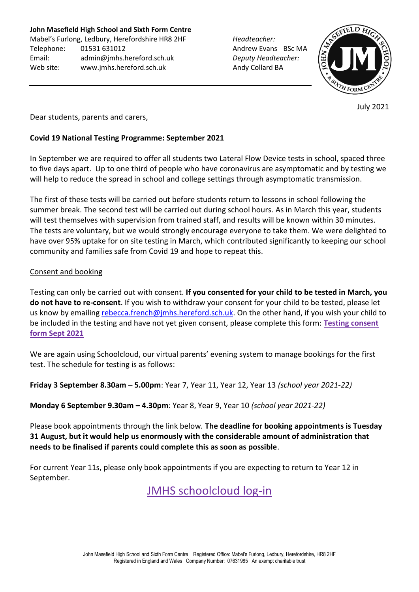**John Masefield High School and Sixth Form Centre**

Mabel's Furlong, Ledbury, Herefordshire HR8 2HF *Headteacher:* Telephone: 01531 631012 **Andrew Evans BSc MA** Email: [admin@jmhs.hereford.sch.uk](mailto:admin@jmonline.org.uk) *Deputy Headteacher:* Web site: www.jmhs.hereford.sch.uk Andy Collard BA



July 2021

Dear students, parents and carers,

## **Covid 19 National Testing Programme: September 2021**

In September we are required to offer all students two Lateral Flow Device tests in school, spaced three to five days apart. Up to one third of people who have coronavirus are asymptomatic and by testing we will help to reduce the spread in school and college settings through asymptomatic transmission.

The first of these tests will be carried out before students return to lessons in school following the summer break. The second test will be carried out during school hours. As in March this year, students will test themselves with supervision from trained staff, and results will be known within 30 minutes. The tests are voluntary, but we would strongly encourage everyone to take them. We were delighted to have over 95% uptake for on site testing in March, which contributed significantly to keeping our school community and families safe from Covid 19 and hope to repeat this.

### Consent and booking

Testing can only be carried out with consent. **If you consented for your child to be tested in March, you do not have to re-consent**. If you wish to withdraw your consent for your child to be tested, please let us know by emailing [rebecca.french@jmhs.hereford.sch.uk.](mailto:rebecca.french@jmhs.hereford.sch.uk) On the other hand, if you wish your child to be included in the testing and have not yet given consent, please complete this form: **[Testing consent](https://forms.office.com/Pages/ResponsePage.aspx?id=h9QXkipHEkSqJIaQB-bBMSmJrxtXYLpEuX8HmhjZT6tUQ05FVFlXTVo1VlBUNFVXMjFMTU9QRTNERi4u)  [form Sept 2021](https://forms.office.com/Pages/ResponsePage.aspx?id=h9QXkipHEkSqJIaQB-bBMSmJrxtXYLpEuX8HmhjZT6tUQ05FVFlXTVo1VlBUNFVXMjFMTU9QRTNERi4u)**

We are again using Schoolcloud, our virtual parents' evening system to manage bookings for the first test. The schedule for testing is as follows:

**Friday 3 September 8.30am – 5.00pm**: Year 7, Year 11, Year 12, Year 13 *(school year 2021-22)*

**Monday 6 September 9.30am – 4.30pm**: Year 8, Year 9, Year 10 *(school year 2021-22)*

Please book appointments through the link below. **The deadline for booking appointments is Tuesday 31 August, but it would help us enormously with the considerable amount of administration that needs to be finalised if parents could complete this as soon as possible**.

For current Year 11s, please only book appointments if you are expecting to return to Year 12 in September.

[JMHS schoolcloud log-in](https://johnmasefield.schoolcloud.co.uk/)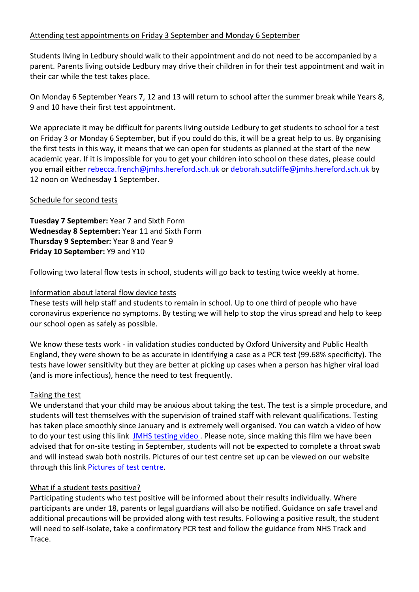## Attending test appointments on Friday 3 September and Monday 6 September

Students living in Ledbury should walk to their appointment and do not need to be accompanied by a parent. Parents living outside Ledbury may drive their children in for their test appointment and wait in their car while the test takes place.

On Monday 6 September Years 7, 12 and 13 will return to school after the summer break while Years 8, 9 and 10 have their first test appointment.

We appreciate it may be difficult for parents living outside Ledbury to get students to school for a test on Friday 3 or Monday 6 September, but if you could do this, it will be a great help to us. By organising the first tests in this way, it means that we can open for students as planned at the start of the new academic year. If it is impossible for you to get your children into school on these dates, please could you email either [rebecca.french@jmhs.hereford.sch.uk](mailto:rebecca.french@jmhs.hereford.sch.uk) o[r deborah.sutcliffe@jmhs.hereford.sch.uk](mailto:deborah.sutcliffe@jmhs.hereford.sch.uk) by 12 noon on Wednesday 1 September.

### Schedule for second tests

**Tuesday 7 September:** Year 7 and Sixth Form **Wednesday 8 September:** Year 11 and Sixth Form **Thursday 9 September:** Year 8 and Year 9 **Friday 10 September:** Y9 and Y10

Following two lateral flow tests in school, students will go back to testing twice weekly at home.

## Information about lateral flow device tests

These tests will help staff and students to remain in school. Up to one third of people who have coronavirus experience no symptoms. By testing we will help to stop the virus spread and help to keep our school open as safely as possible.

We know these tests work - in validation studies conducted by Oxford University and Public Health England, they were shown to be as accurate in identifying a case as a PCR test (99.68% specificity). The tests have lower sensitivity but they are better at picking up cases when a person has higher viral load (and is more infectious), hence the need to test frequently.

### Taking the test

We understand that your child may be anxious about taking the test. The test is a simple procedure, and students will test themselves with the supervision of trained staff with relevant qualifications. Testing has taken place smoothly since January and is extremely well organised. You can watch a video of how to do your test using this link JMHS [testing](https://youtu.be/aiFzbVP6P9o) video. Please note, since making this film we have been advised that for on-site testing in September, students will not be expected to complete a throat swab and will instead swab both nostrils. Pictures of our test centre set up can be viewed on our website through this link [Pictures of test centre.](https://www.jmhs.hereford.sch.uk/about-us/covid-19-risk-assessment/)

### What if a student tests positive?

Participating students who test positive will be informed about their results individually. Where participants are under 18, parents or legal guardians will also be notified. Guidance on safe travel and additional precautions will be provided along with test results. Following a positive result, the student will need to self-isolate, take a confirmatory PCR test and follow the guidance from NHS Track and Trace.